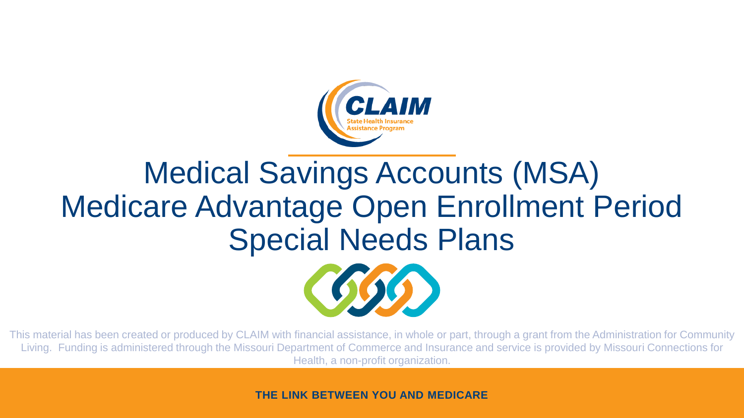

#### Medical Savings Accounts (MSA) Medicare Advantage Open Enrollment Period Special Needs Plans



This material has been created or produced by CLAIM with financial assistance, in whole or part, through a grant from the Administration for Community Living. Funding is administered through the Missouri Department of Commerce and Insurance and service is provided by Missouri Connections for Health, a non-profit organization.

**THE LINK BETWEEN YOU AND MEDICARE**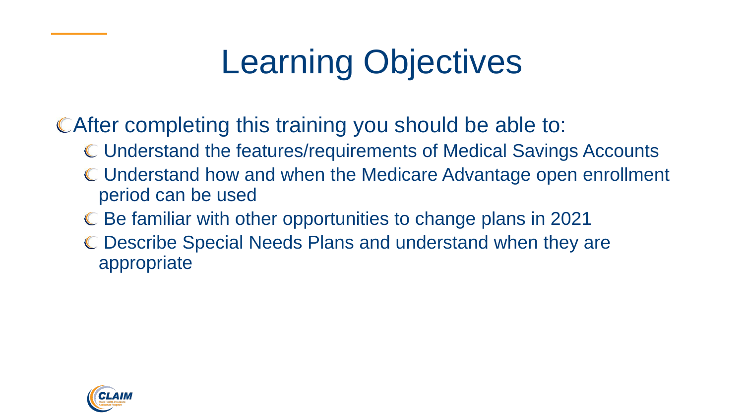# Learning Objectives

CAfter completing this training you should be able to:

- Understand the features/requirements of Medical Savings Accounts
- Understand how and when the Medicare Advantage open enrollment period can be used
- Be familiar with other opportunities to change plans in 2021
- Describe Special Needs Plans and understand when they are appropriate

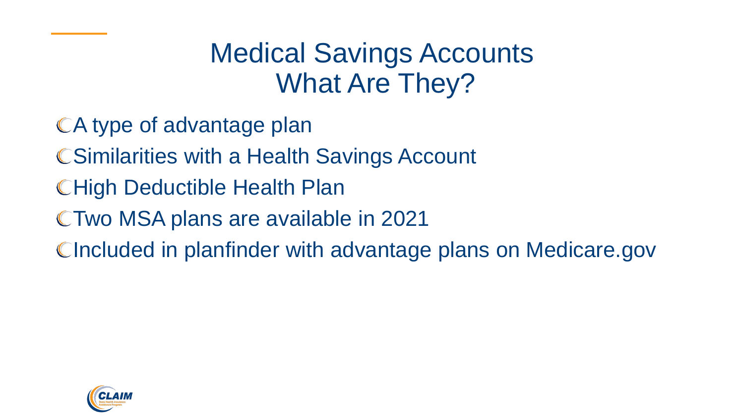Medical Savings Accounts What Are They?

- A type of advantage plan
- **CSimilarities with a Health Savings Account**
- **CHigh Deductible Health Plan**
- Two MSA plans are available in 2021
- CIncluded in planfinder with advantage plans on Medicare.gov

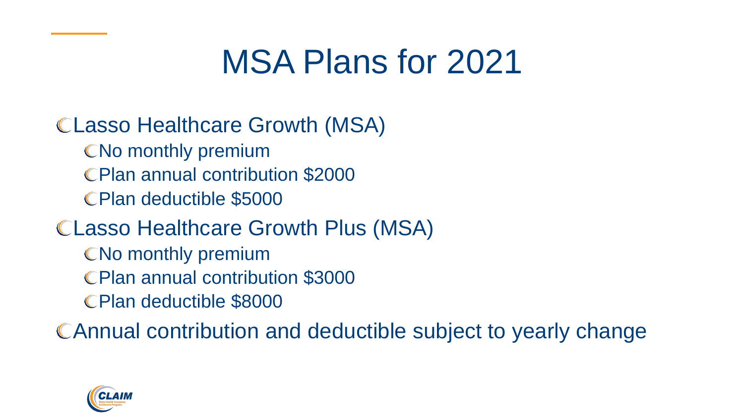### MSA Plans for 2021

#### Lasso Healthcare Growth (MSA)

- CNo monthly premium
- Plan annual contribution \$2000
- Plan deductible \$5000

#### Lasso Healthcare Growth Plus (MSA)

- CNo monthly premium
- Plan annual contribution \$3000
- Plan deductible \$8000

Annual contribution and deductible subject to yearly change

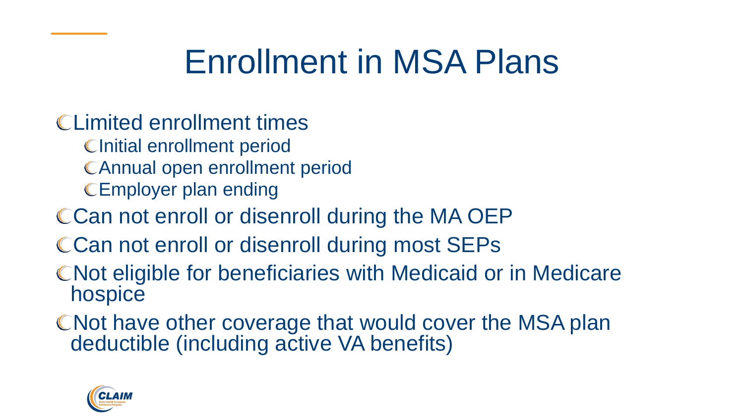# Enrollment in MSA Plans

- Limited enrollment times
	- **Clnitial enrollment period**
	- Annual open enrollment period
	- CEmployer plan ending
- CCan not enroll or disenroll during the MA OEP
- CCan not enroll or disenroll during most SEPs
- CNot eligible for beneficiaries with Medicaid or in Medicare hospice
- CNot have other coverage that would cover the MSA plan deductible (including active VA benefits)

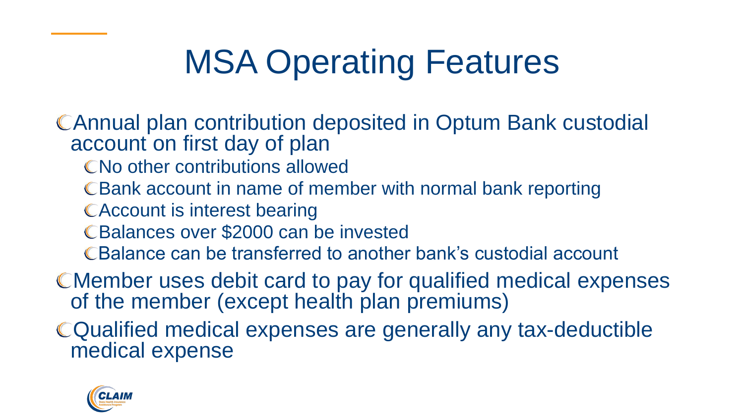# MSA Operating Features

Annual plan contribution deposited in Optum Bank custodial account on first day of plan

- CNo other contributions allowed
- C Bank account in name of member with normal bank reporting
- CAccount is interest bearing
- Balances over \$2000 can be invested
- Balance can be transferred to another bank's custodial account
- Member uses debit card to pay for qualified medical expenses of the member (except health plan premiums)
- Qualified medical expenses are generally any tax-deductible medical expense

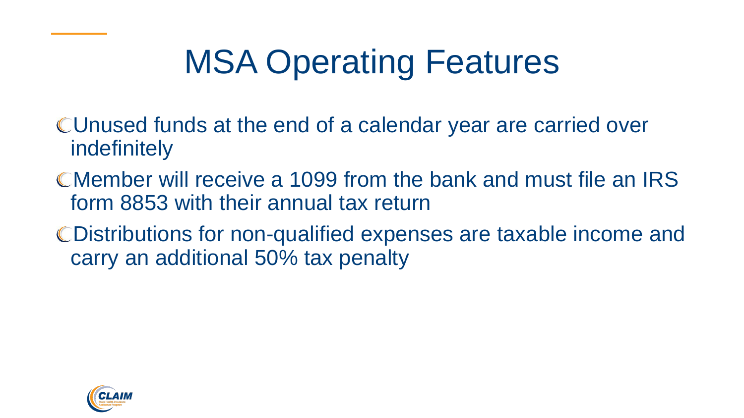# MSA Operating Features

- Unused funds at the end of a calendar year are carried over indefinitely
- Member will receive a 1099 from the bank and must file an IRS form 8853 with their annual tax return
- Distributions for non-qualified expenses are taxable income and carry an additional 50% tax penalty

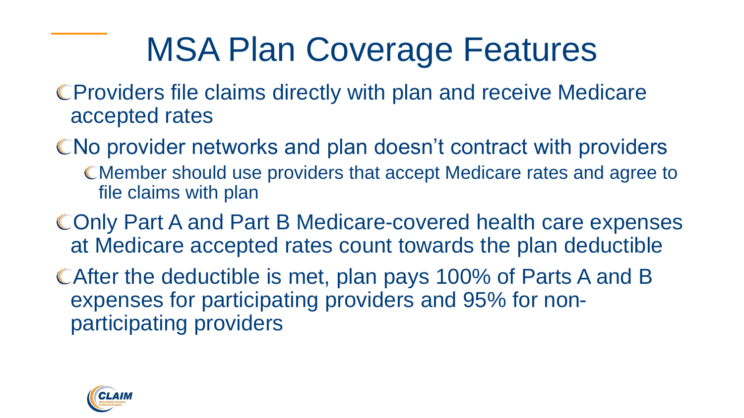# MSA Plan Coverage Features

- Providers file claims directly with plan and receive Medicare accepted rates
- CNo provider networks and plan doesn't contract with providers Member should use providers that accept Medicare rates and agree to file claims with plan
- Only Part A and Part B Medicare-covered health care expenses at Medicare accepted rates count towards the plan deductible
- After the deductible is met, plan pays 100% of Parts A and B expenses for participating providers and 95% for nonparticipating providers

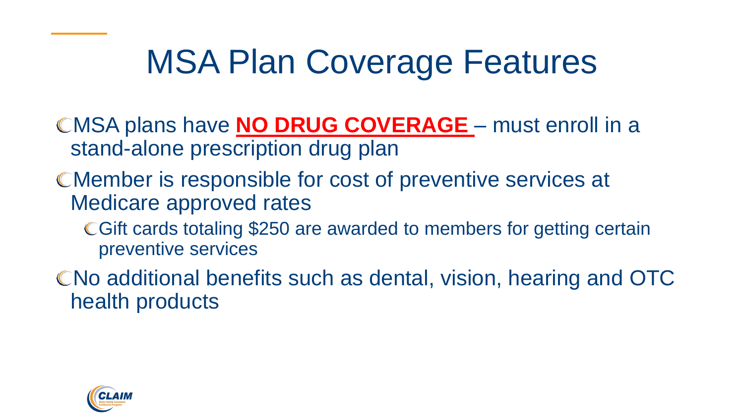# MSA Plan Coverage Features

- MSA plans have **NO DRUG COVERAGE**  must enroll in a stand-alone prescription drug plan
- Member is responsible for cost of preventive services at Medicare approved rates
	- Gift cards totaling \$250 are awarded to members for getting certain preventive services
- No additional benefits such as dental, vision, hearing and OTC health products

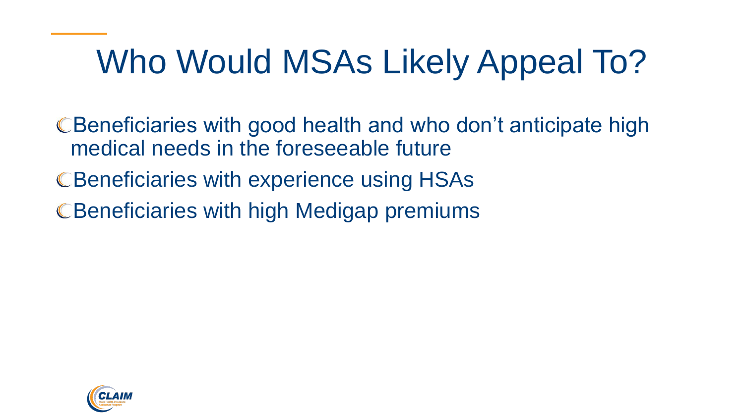# Who Would MSAs Likely Appeal To?

CBeneficiaries with good health and who don't anticipate high medical needs in the foreseeable future C Beneficiaries with experience using HSAs C Beneficiaries with high Medigap premiums

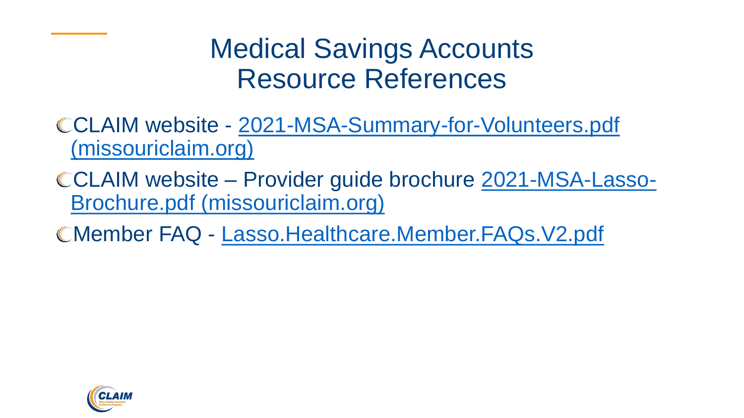#### Medical Savings Accounts Resource References

- CCLAIM website 2021-MSA-Summary-for-Volunteers.pdf (missouriclaim.org)
- CCLAIM website [Provider guide brochure 2021-MSA-Lasso-](https://www.missouriclaim.org/wp-content/uploads/2020/10/2021-MSA-Lasso-Brochure.pdf)Brochure.pdf (missouriclaim.org)
- Member FAQ [Lasso.Healthcare.Member.FAQs.V2.pdf](https://lassohealthcare.com/documents/Lasso.Healthcare.Member.FAQs.V2.pdf)

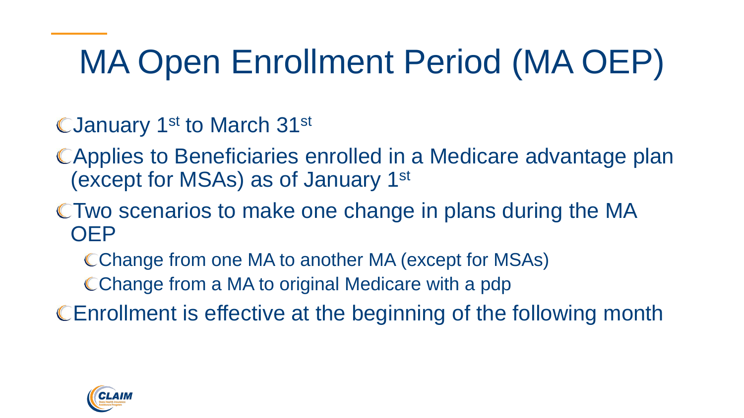# MA Open Enrollment Period (MA OEP)

CJanuary 1<sup>st</sup> to March 31<sup>st</sup>

- Applies to Beneficiaries enrolled in a Medicare advantage plan (except for MSAs) as of January 1st
- Two scenarios to make one change in plans during the MA **OEP** 
	- Change from one MA to another MA (except for MSAs)
	- CChange from a MA to original Medicare with a pdp

Enrollment is effective at the beginning of the following month

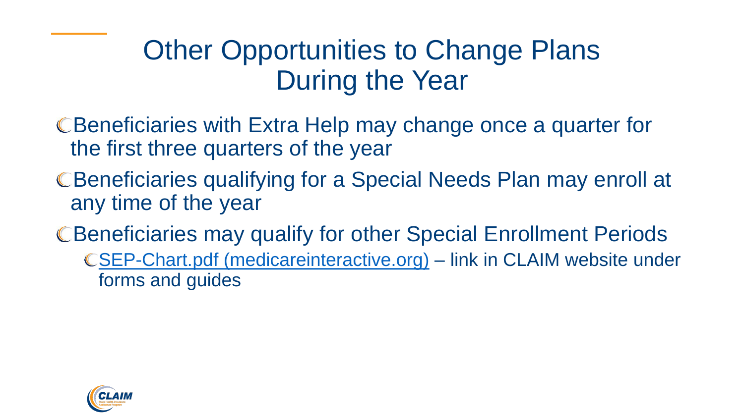#### Other Opportunities to Change Plans During the Year

- Beneficiaries with Extra Help may change once a quarter for the first three quarters of the year
- CBeneficiaries qualifying for a Special Needs Plan may enroll at any time of the year
- CBeneficiaries may qualify for other Special Enrollment Periods
	- [SEP-Chart.pdf \(medicareinteractive.org\)](https://www.medicareinteractive.org/pdf/SEP-Chart.pdf) link in CLAIM website under forms and guides

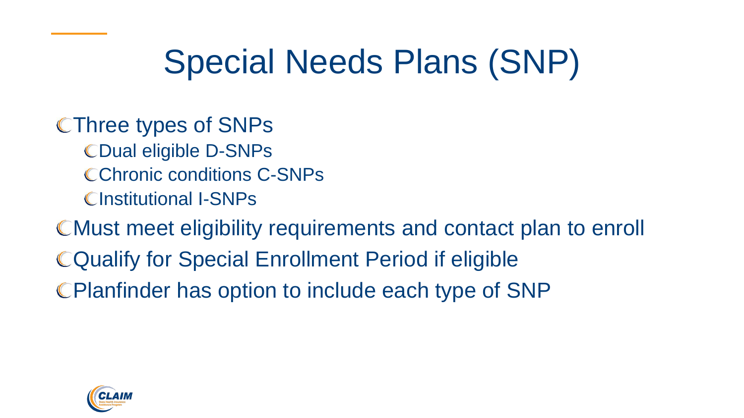# Special Needs Plans (SNP)

CThree types of SNPs

CDual eligible D-SNPs CChronic conditions C-SNPs CInstitutional I-SNPs

Must meet eligibility requirements and contact plan to enroll Qualify for Special Enrollment Period if eligible Planfinder has option to include each type of SNP

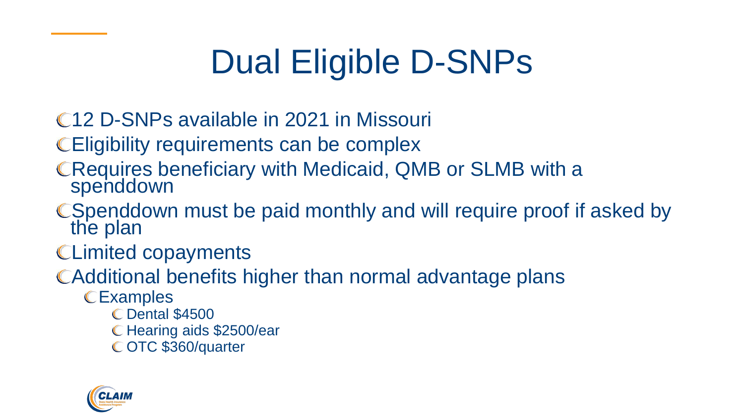# Dual Eligible D-SNPs

- 12 D-SNPs available in 2021 in Missouri
- Eligibility requirements can be complex
- Requires beneficiary with Medicaid, QMB or SLMB with a spenddown
- C Spenddown must be paid monthly and will require proof if asked by the plan
- Limited copayments
- Additional benefits higher than normal advantage plans
	- **CExamples** 
		- Dental \$4500
		- C Hearing aids \$2500/ear
		- C OTC \$360/quarter

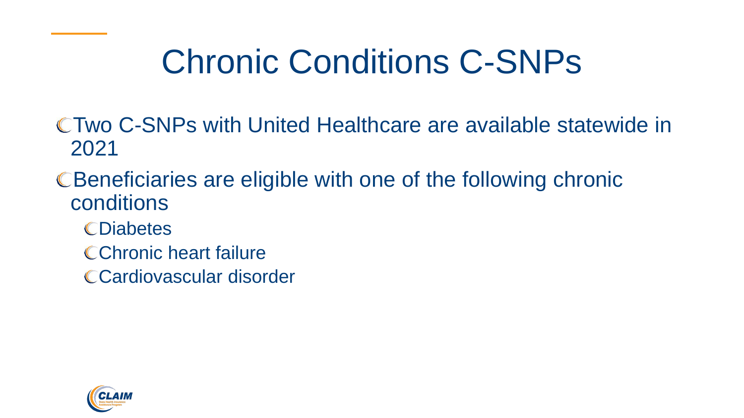# Chronic Conditions C-SNPs

- Two C-SNPs with United Healthcare are available statewide in 2021
- Beneficiaries are eligible with one of the following chronic conditions
	- **CDiabetes**
	- CChronic heart failure
	- Cardiovascular disorder

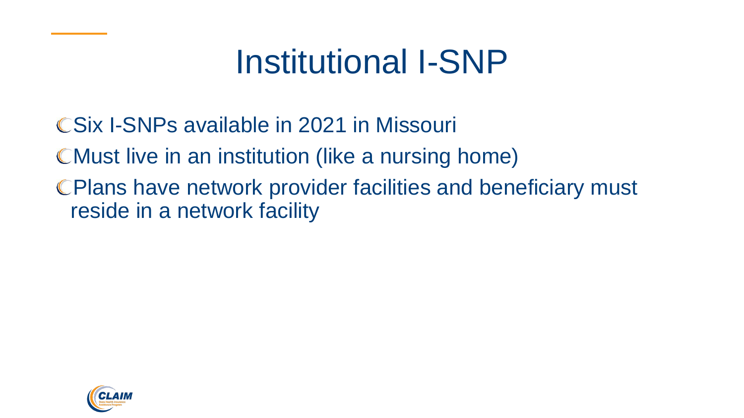### Institutional I-SNP

- CSix I-SNPs available in 2021 in Missouri
- Must live in an institution (like a nursing home)
- Plans have network provider facilities and beneficiary must reside in a network facility